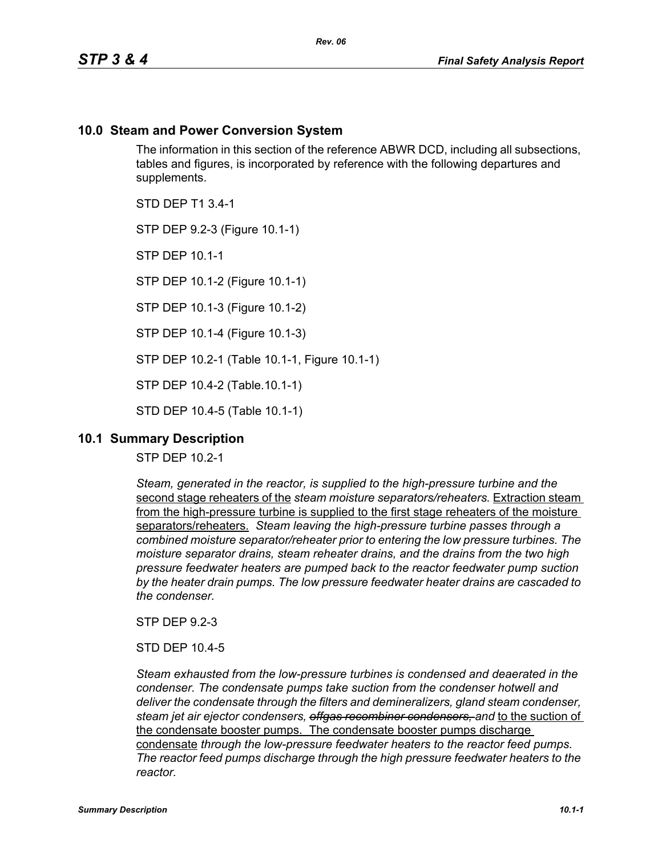# **10.0 Steam and Power Conversion System**

The information in this section of the reference ABWR DCD, including all subsections, tables and figures, is incorporated by reference with the following departures and supplements.

STD DEP T1 3.4-1

STP DEP 9.2-3 (Figure 10.1-1)

STP DEP 10.1-1

STP DEP 10.1-2 (Figure 10.1-1)

STP DEP 10.1-3 (Figure 10.1-2)

STP DEP 10.1-4 (Figure 10.1-3)

STP DEP 10.2-1 (Table 10.1-1, Figure 10.1-1)

STP DEP 10.4-2 (Table.10.1-1)

STD DEP 10.4-5 (Table 10.1-1)

# **10.1 Summary Description**

STP DEP 10.2-1

*Steam, generated in the reactor, is supplied to the high-pressure turbine and the*  second stage reheaters of the *steam moisture separators/reheaters.* Extraction steam from the high-pressure turbine is supplied to the first stage reheaters of the moisture separators/reheaters. *Steam leaving the high-pressure turbine passes through a combined moisture separator/reheater prior to entering the low pressure turbines. The moisture separator drains, steam reheater drains, and the drains from the two high pressure feedwater heaters are pumped back to the reactor feedwater pump suction by the heater drain pumps. The low pressure feedwater heater drains are cascaded to the condenser.*

STP DEP 9.2-3

STD DEP 10.4-5

*Steam exhausted from the low-pressure turbines is condensed and deaerated in the condenser. The condensate pumps take suction from the condenser hotwell and deliver the condensate through the filters and demineralizers, gland steam condenser, steam jet air ejector condensers, offgas recombiner condensers, and* to the suction of the condensate booster pumps. The condensate booster pumps discharge condensate *through the low-pressure feedwater heaters to the reactor feed pumps. The reactor feed pumps discharge through the high pressure feedwater heaters to the reactor.*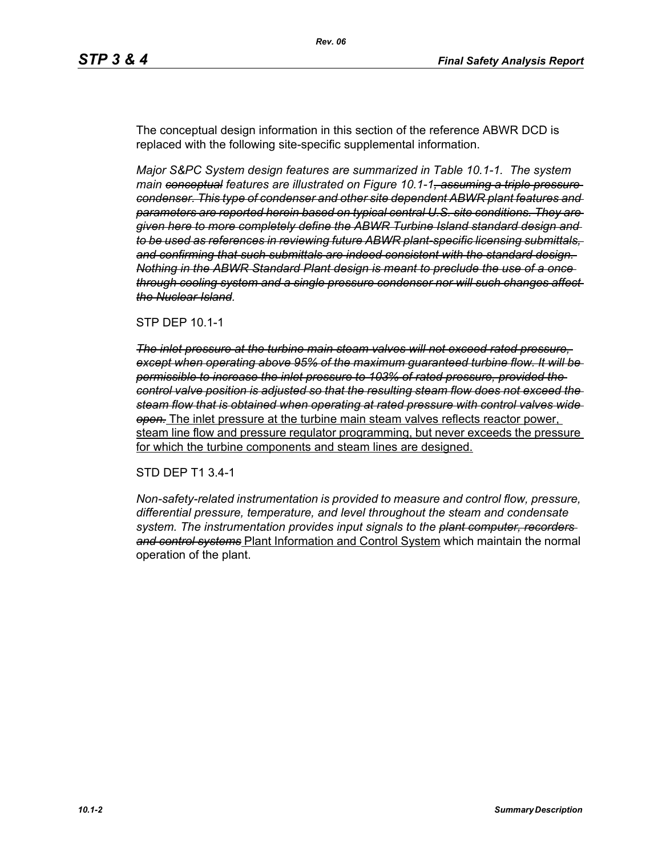The conceptual design information in this section of the reference ABWR DCD is replaced with the following site-specific supplemental information.

*Major S&PC System design features are summarized in Table 10.1-1. The system main conceptual features are illustrated on Figure 10.1-1, assuming a triple pressure condenser. This type of condenser and other site dependent ABWR plant features and parameters are reported herein based on typical central U.S. site conditions. They are given here to more completely define the ABWR Turbine Island standard design and to be used as references in reviewing future ABWR plant-specific licensing submittals, and confirming that such submittals are indeed consistent with the standard design. Nothing in the ABWR Standard Plant design is meant to preclude the use of a once through cooling system and a single pressure condenser nor will such changes affect the Nuclear Island.*

### STP DEP 10.1-1

*The inlet pressure at the turbine main steam valves will not exceed rated pressure, except when operating above 95% of the maximum guaranteed turbine flow. It will be permissible to increase the inlet pressure to 103% of rated pressure, provided the control valve position is adjusted so that the resulting steam flow does not exceed the steam flow that is obtained when operating at rated pressure with control valves wide open.* The inlet pressure at the turbine main steam valves reflects reactor power, steam line flow and pressure regulator programming, but never exceeds the pressure for which the turbine components and steam lines are designed.

### STD DEP T1 3.4-1

*Non-safety-related instrumentation is provided to measure and control flow, pressure, differential pressure, temperature, and level throughout the steam and condensate system. The instrumentation provides input signals to the plant computer, recorders and control systems* Plant Information and Control System which maintain the normal operation of the plant.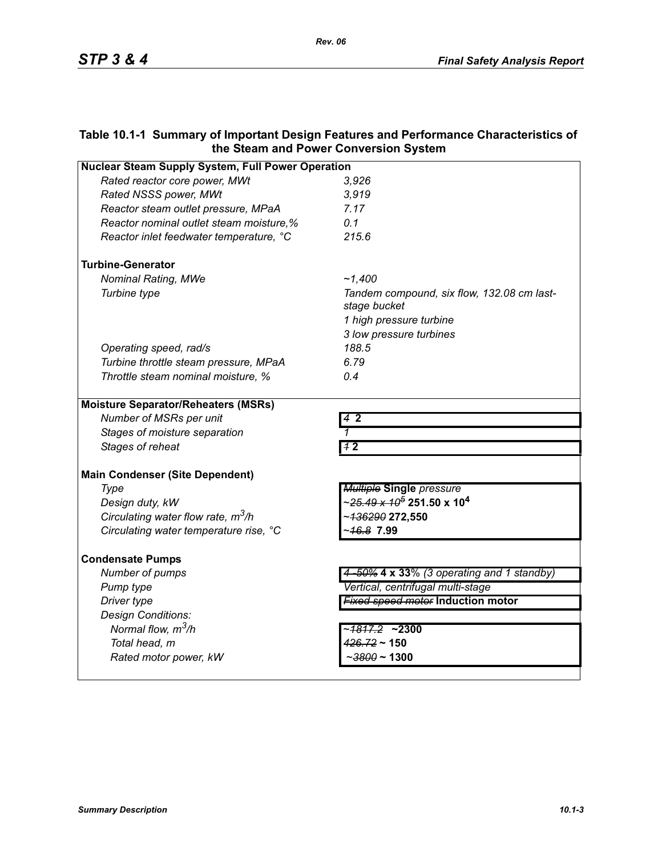# **Table 10.1-1 Summary of Important Design Features and Performance Characteristics of the Steam and Power Conversion System**

*Rev. 06*

| <b>Nuclear Steam Supply System, Full Power Operation</b> |                                                              |  |
|----------------------------------------------------------|--------------------------------------------------------------|--|
| Rated reactor core power, MWt                            | 3,926                                                        |  |
| Rated NSSS power, MWt                                    | 3,919                                                        |  |
| Reactor steam outlet pressure, MPaA                      | 7.17                                                         |  |
| Reactor nominal outlet steam moisture,%                  | 0.1                                                          |  |
| Reactor inlet feedwater temperature, °C                  | 215.6                                                        |  |
| <b>Turbine-Generator</b>                                 |                                                              |  |
| Nominal Rating, MWe                                      | ~1.400                                                       |  |
| Turbine type                                             | Tandem compound, six flow, 132.08 cm last-<br>stage bucket   |  |
|                                                          | 1 high pressure turbine                                      |  |
|                                                          | 3 low pressure turbines                                      |  |
| Operating speed, rad/s                                   | 188.5                                                        |  |
| Turbine throttle steam pressure, MPaA                    | 6.79                                                         |  |
| Throttle steam nominal moisture, %                       | 0.4                                                          |  |
| <b>Moisture Separator/Reheaters (MSRs)</b>               |                                                              |  |
| Number of MSRs per unit                                  | 42                                                           |  |
| Stages of moisture separation                            | 1                                                            |  |
| Stages of reheat                                         | 11 <sup>2</sup>                                              |  |
| <b>Main Condenser (Site Dependent)</b>                   |                                                              |  |
| Type                                                     | <b>Multiple Single pressure</b>                              |  |
| Design duty, kW                                          | ∼ <del>25.49 x 10<sup>5</sup></del> 251.50 x 10 <sup>4</sup> |  |
| Circulating water flow rate, $m^3/h$                     | ~ <del>136290</del> 272,550                                  |  |
| Circulating water temperature rise, °C                   | 16.8 7.99                                                    |  |
| <b>Condensate Pumps</b>                                  |                                                              |  |
| Number of pumps                                          | 4-50% 4 x 33% (3 operating and 1 standby)                    |  |
| Pump type                                                | Vertical, centrifugal multi-stage                            |  |
| Driver type                                              | <b>Fixed speed motor Induction motor</b>                     |  |
| Design Conditions:                                       |                                                              |  |
| Normal flow, $m^3/h$                                     | ~ <del>1817.2</del> ~2300                                    |  |
| Total head, m                                            | $426.72 \sim 150$                                            |  |
| Rated motor power, kW                                    | - <del>3800</del> ~ 1300                                     |  |
|                                                          |                                                              |  |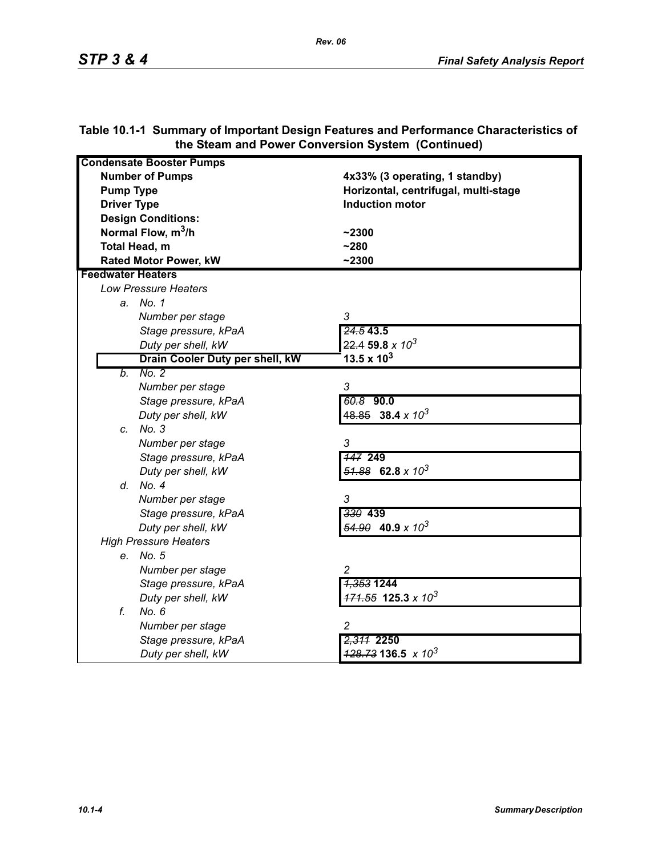| <b>Condensate Booster Pumps</b> |                                          |
|---------------------------------|------------------------------------------|
| <b>Number of Pumps</b>          | 4x33% (3 operating, 1 standby)           |
| <b>Pump Type</b>                | Horizontal, centrifugal, multi-stage     |
| <b>Driver Type</b>              | <b>Induction motor</b>                   |
| <b>Design Conditions:</b>       |                                          |
| Normal Flow, m <sup>3</sup> /h  | $-2300$                                  |
| Total Head, m                   | $-280$                                   |
| <b>Rated Motor Power, kW</b>    | $-2300$                                  |
| <b>Feedwater Heaters</b>        |                                          |
| <b>Low Pressure Heaters</b>     |                                          |
| a. No. 1                        |                                          |
| Number per stage                | 3                                        |
| Stage pressure, kPaA            | 24.543.5                                 |
| Duty per shell, kW              | $22.4$ 59.8 x $10^3$                     |
| Drain Cooler Duty per shell, kW | 13.5 x $10^3$                            |
| No. 2<br>b.                     |                                          |
| Number per stage                | 3                                        |
| Stage pressure, kPaA            | 60.8 90.0                                |
| Duty per shell, kW              | $48.85$ 38.4 x 10 <sup>3</sup>           |
| c. No. 3                        |                                          |
| Number per stage                | 3                                        |
| Stage pressure, kPaA            | <b>147 249</b>                           |
| Duty per shell, kW              | $\frac{51.88}{2}$ 62.8 x 10 <sup>3</sup> |
| d. No. 4                        |                                          |
| Number per stage                | 3                                        |
| Stage pressure, kPaA            | 330 439                                  |
| Duty per shell, kW              | $\frac{54.90}{2}$ 40.9 x 10 <sup>3</sup> |
| <b>High Pressure Heaters</b>    |                                          |
| e. No. 5                        |                                          |
| Number per stage                | $\overline{c}$                           |
| Stage pressure, kPaA            | <del>1,353</del> 1244                    |
| Duty per shell, kW              | $171.55$ 125.3 x 10 <sup>3</sup>         |
| f.<br>No. 6                     |                                          |
| Number per stage                | 2                                        |
| Stage pressure, kPaA            | 2,311 2250                               |
| Duty per shell, kW              | $\frac{428.73}{136.5}$ x 10 <sup>3</sup> |

# **Table 10.1-1 Summary of Important Design Features and Performance Characteristics of the Steam and Power Conversion System (Continued)**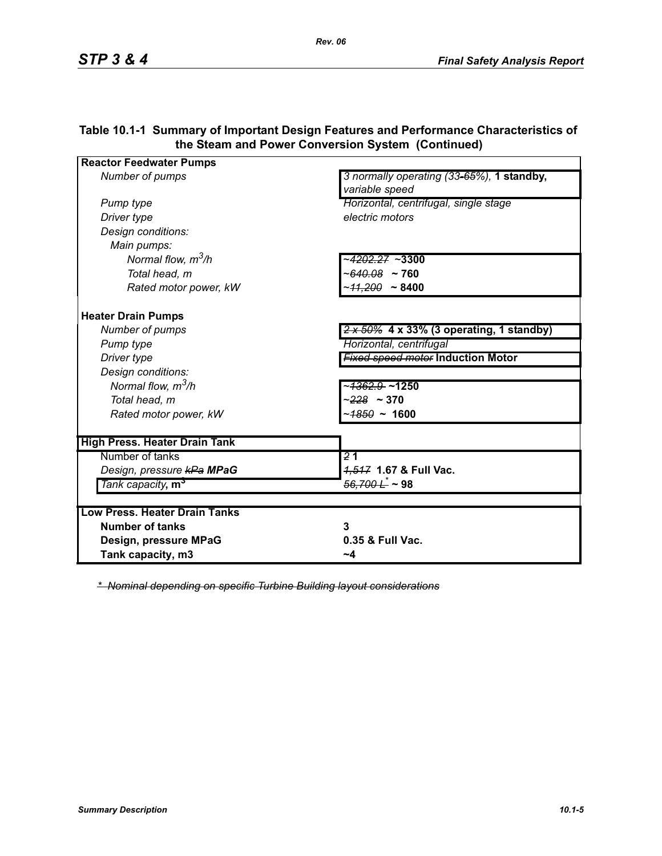| <b>Reactor Feedwater Pumps</b>             |                                                             |
|--------------------------------------------|-------------------------------------------------------------|
| Number of pumps                            | 3 normally operating (33-65%), 1 standby,<br>variable speed |
| Pump type                                  | Horizontal, centrifugal, single stage                       |
| Driver type                                | electric motors                                             |
| Design conditions:                         |                                                             |
| Main pumps:                                |                                                             |
| Normal flow, $m^3/h$                       | ~ <del>4202.27</del> ~3300                                  |
| Total head, m                              | $~100.08$ ~ 760                                             |
| Rated motor power, kW                      | ~ <del>11.200</del> ~ 8400                                  |
| <b>Heater Drain Pumps</b>                  |                                                             |
| Number of pumps                            | $2 \times 50\%$ 4 x 33% (3 operating, 1 standby)            |
| Pump type                                  | Horizontal, centrifugal                                     |
| Driver type                                | <b>Fixed speed motor Induction Motor</b>                    |
| Design conditions:                         |                                                             |
| Normal flow, $m^3/h$                       | ~ <del>1362.9 </del> ~1250                                  |
| Total head, m                              | $~228~\sim 370$                                             |
| Rated motor power, kW                      | ~ <del>1850</del> ~ 1600                                    |
| <b>High Press. Heater Drain Tank</b>       |                                                             |
| Number of tanks                            | $\overline{21}$                                             |
| Design, pressure kPa MPaG                  | 4,547 1.67 & Full Vac.                                      |
| Tank capacity, m <sup>3</sup>              | <del>56,700 L</del> ~ 98                                    |
| <b>Low Press, Heater Drain Tanks</b>       |                                                             |
| <b>Number of tanks</b>                     | 3                                                           |
|                                            | 0.35 & Full Vac.                                            |
| Design, pressure MPaG<br>Tank capacity, m3 | ~4                                                          |
|                                            |                                                             |

## **Table 10.1-1 Summary of Important Design Features and Performance Characteristics of the Steam and Power Conversion System (Continued)**

*\* Nominal depending on specific Turbine Building layout considerations*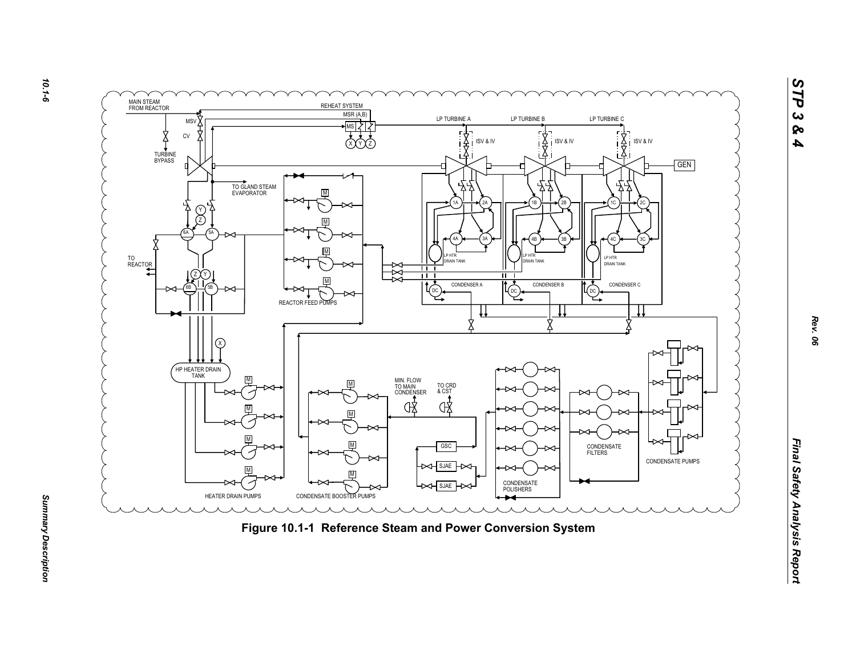